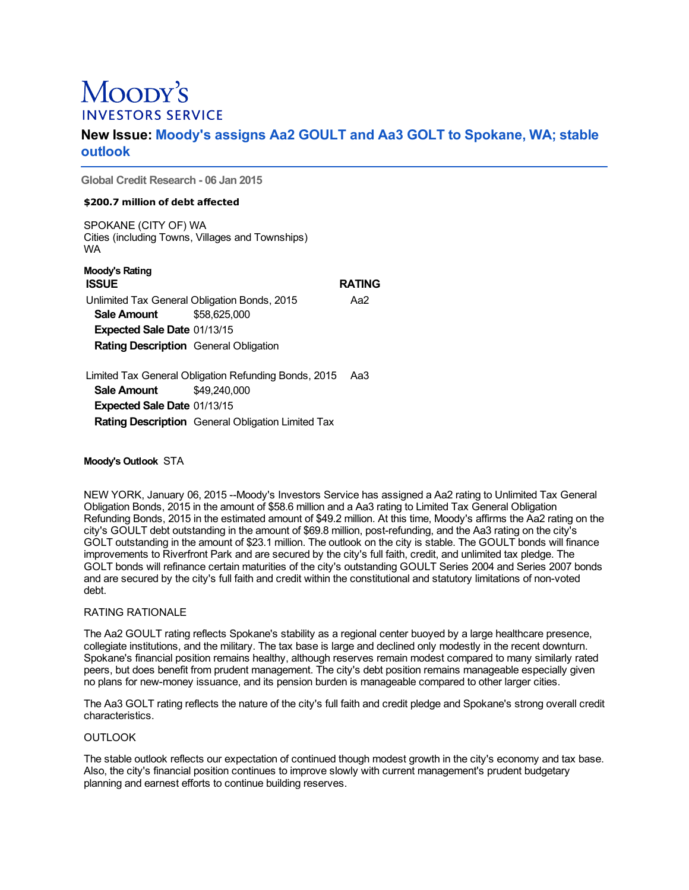# Moopy's **INVESTORS SERVICE**

# **New Issue: Moody's assigns Aa2 GOULT and Aa3 GOLT to Spokane, WA; stable outlook**

**Global Credit Research - 06 Jan 2015**

# **\$200.7 million of debt affected**

SPOKANE (CITY OF) WA Cities (including Towns, Villages and Townships) WA

| Moody's Rating                               |  |              |  |  |  |  |               |
|----------------------------------------------|--|--------------|--|--|--|--|---------------|
| <b>ISSUE</b>                                 |  |              |  |  |  |  | <b>RATING</b> |
| Unlimited Tax General Obligation Bonds, 2015 |  |              |  |  |  |  | Aa2           |
| Sale Amount                                  |  | \$58.625.000 |  |  |  |  |               |
| <b>Expected Sale Date 01/13/15</b>           |  |              |  |  |  |  |               |
| <b>Rating Description</b> General Obligation |  |              |  |  |  |  |               |
|                                              |  |              |  |  |  |  |               |
|                                              |  |              |  |  |  |  |               |

Limited Tax General Obligation Refunding Bonds, 2015 Aa3 **Sale Amount** \$49,240,000 **Expected Sale Date** 01/13/15 **Rating Description** General Obligation Limited Tax

# **Moody's Outlook** STA

NEW YORK, January 06, 2015 --Moody's Investors Service has assigned a Aa2 rating to Unlimited Tax General Obligation Bonds, 2015 in the amount of \$58.6 million and a Aa3 rating to Limited Tax General Obligation Refunding Bonds, 2015 in the estimated amount of \$49.2 million. At this time, Moody's affirms the Aa2 rating on the city's GOULT debt outstanding in the amount of \$69.8 million, post-refunding, and the Aa3 rating on the city's GOLT outstanding in the amount of \$23.1 million. The outlook on the city is stable. The GOULT bonds will finance improvements to Riverfront Park and are secured by the city's full faith, credit, and unlimited tax pledge. The GOLT bonds will refinance certain maturities of the city's outstanding GOULT Series 2004 and Series 2007 bonds and are secured by the city's full faith and credit within the constitutional and statutory limitations of non-voted debt.

# RATING RATIONALE

The Aa2 GOULT rating reflects Spokane's stability as a regional center buoyed by a large healthcare presence, collegiate institutions, and the military. The tax base is large and declined only modestly in the recent downturn. Spokane's financial position remains healthy, although reserves remain modest compared to many similarly rated peers, but does benefit from prudent management. The city's debt position remains manageable especially given no plans for new-money issuance, and its pension burden is manageable compared to other larger cities.

The Aa3 GOLT rating reflects the nature of the city's full faith and credit pledge and Spokane's strong overall credit characteristics.

# **OUTLOOK**

The stable outlook reflects our expectation of continued though modest growth in the city's economy and tax base. Also, the city's financial position continues to improve slowly with current management's prudent budgetary planning and earnest efforts to continue building reserves.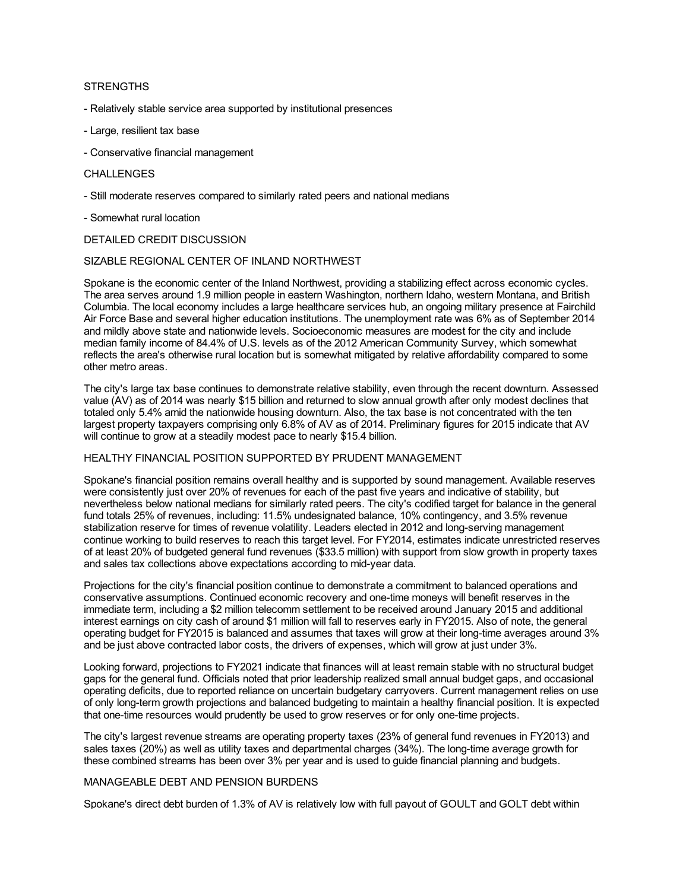# **STRENGTHS**

- Relatively stable service area supported by institutional presences
- Large, resilient tax base
- Conservative financial management

#### CHALLENGES

- Still moderate reserves compared to similarly rated peers and national medians
- Somewhat rural location

#### DETAILED CREDIT DISCUSSION

#### SIZABLE REGIONAL CENTER OF INLAND NORTHWEST

Spokane is the economic center of the Inland Northwest, providing a stabilizing effect across economic cycles. The area serves around 1.9 million people in eastern Washington, northern Idaho, western Montana, and British Columbia. The local economy includes a large healthcare services hub, an ongoing military presence at Fairchild Air Force Base and several higher education institutions. The unemployment rate was 6% as of September 2014 and mildly above state and nationwide levels. Socioeconomic measures are modest for the city and include median family income of 84.4% of U.S. levels as of the 2012 American Community Survey, which somewhat reflects the area's otherwise rural location but is somewhat mitigated by relative affordability compared to some other metro areas.

The city's large tax base continues to demonstrate relative stability, even through the recent downturn. Assessed value (AV) as of 2014 was nearly \$15 billion and returned to slow annual growth after only modest declines that totaled only 5.4% amid the nationwide housing downturn. Also, the tax base is not concentrated with the ten largest property taxpayers comprising only 6.8% of AV as of 2014. Preliminary figures for 2015 indicate that AV will continue to grow at a steadily modest pace to nearly \$15.4 billion.

## HEALTHY FINANCIAL POSITION SUPPORTED BY PRUDENT MANAGEMENT

Spokane's financial position remains overall healthy and is supported by sound management. Available reserves were consistently just over 20% of revenues for each of the past five years and indicative of stability, but nevertheless below national medians for similarly rated peers. The city's codified target for balance in the general fund totals 25% of revenues, including: 11.5% undesignated balance, 10% contingency, and 3.5% revenue stabilization reserve for times of revenue volatility. Leaders elected in 2012 and long-serving management continue working to build reserves to reach this target level. For FY2014, estimates indicate unrestricted reserves of at least 20% of budgeted general fund revenues (\$33.5 million) with support from slow growth in property taxes and sales tax collections above expectations according to mid-year data.

Projections for the city's financial position continue to demonstrate a commitment to balanced operations and conservative assumptions. Continued economic recovery and one-time moneys will benefit reserves in the immediate term, including a \$2 million telecomm settlement to be received around January 2015 and additional interest earnings on city cash of around \$1 million will fall to reserves early in FY2015. Also of note, the general operating budget for FY2015 is balanced and assumes that taxes will grow at their long-time averages around 3% and be just above contracted labor costs, the drivers of expenses, which will grow at just under 3%.

Looking forward, projections to FY2021 indicate that finances will at least remain stable with no structural budget gaps for the general fund. Officials noted that prior leadership realized small annual budget gaps, and occasional operating deficits, due to reported reliance on uncertain budgetary carryovers. Current management relies on use of only long-term growth projections and balanced budgeting to maintain a healthy financial position. It is expected that one-time resources would prudently be used to grow reserves or for only one-time projects.

The city's largest revenue streams are operating property taxes (23% of general fund revenues in FY2013) and sales taxes (20%) as well as utility taxes and departmental charges (34%). The long-time average growth for these combined streams has been over 3% per year and is used to guide financial planning and budgets.

#### MANAGEABLE DEBT AND PENSION BURDENS

Spokane's direct debt burden of 1.3% of AV is relatively low with full payout of GOULT and GOLT debt within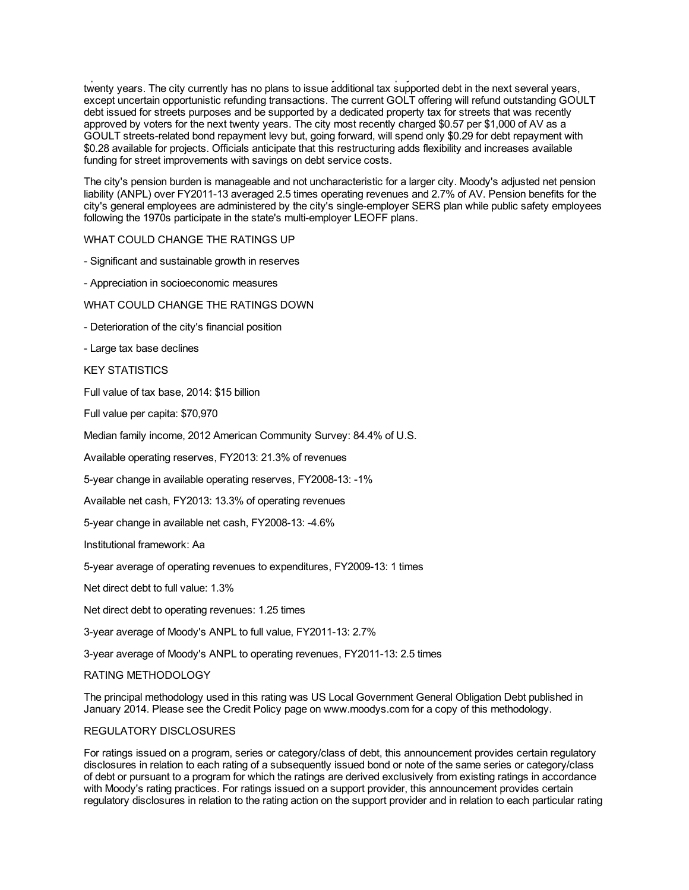Spokane's direct debt burden of 1.3% of AV is relatively low with full payout of GOULT and GOLT debt within twenty years. The city currently has no plans to issue additional tax supported debt in the next several years, except uncertain opportunistic refunding transactions. The current GOLT offering will refund outstanding GOULT debt issued for streets purposes and be supported by a dedicated property tax for streets that was recently approved by voters for the next twenty years. The city most recently charged \$0.57 per \$1,000 of AV as a GOULT streets-related bond repayment levy but, going forward, will spend only \$0.29 for debt repayment with \$0.28 available for projects. Officials anticipate that this restructuring adds flexibility and increases available funding for street improvements with savings on debt service costs.

The city's pension burden is manageable and not uncharacteristic for a larger city. Moody's adjusted net pension liability (ANPL) over FY2011-13 averaged 2.5 times operating revenues and 2.7% of AV. Pension benefits for the city's general employees are administered by the city's single-employer SERS plan while public safety employees following the 1970s participate in the state's multi-employer LEOFF plans.

WHAT COULD CHANGE THE RATINGS UP

- Significant and sustainable growth in reserves
- Appreciation in socioeconomic measures
- WHAT COULD CHANGE THE RATINGS DOWN
- Deterioration of the city's financial position
- Large tax base declines

KEY STATISTICS

Full value of tax base, 2014: \$15 billion

Full value per capita: \$70,970

Median family income, 2012 American Community Survey: 84.4% of U.S.

Available operating reserves, FY2013: 21.3% of revenues

5-year change in available operating reserves, FY2008-13: -1%

Available net cash, FY2013: 13.3% of operating revenues

5-year change in available net cash, FY2008-13: -4.6%

Institutional framework: Aa

5-year average of operating revenues to expenditures, FY2009-13: 1 times

Net direct debt to full value: 1.3%

Net direct debt to operating revenues: 1.25 times

3-year average of Moody's ANPL to full value, FY2011-13: 2.7%

3-year average of Moody's ANPL to operating revenues, FY2011-13: 2.5 times

#### RATING METHODOLOGY

The principal methodology used in this rating was US Local Government General Obligation Debt published in January 2014. Please see the Credit Policy page on www.moodys.com for a copy of this methodology.

#### REGULATORY DISCLOSURES

For ratings issued on a program, series or category/class of debt, this announcement provides certain regulatory disclosures in relation to each rating of a subsequently issued bond or note of the same series or category/class of debt or pursuant to a program for which the ratings are derived exclusively from existing ratings in accordance with Moody's rating practices. For ratings issued on a support provider, this announcement provides certain regulatory disclosures in relation to the rating action on the support provider and in relation to each particular rating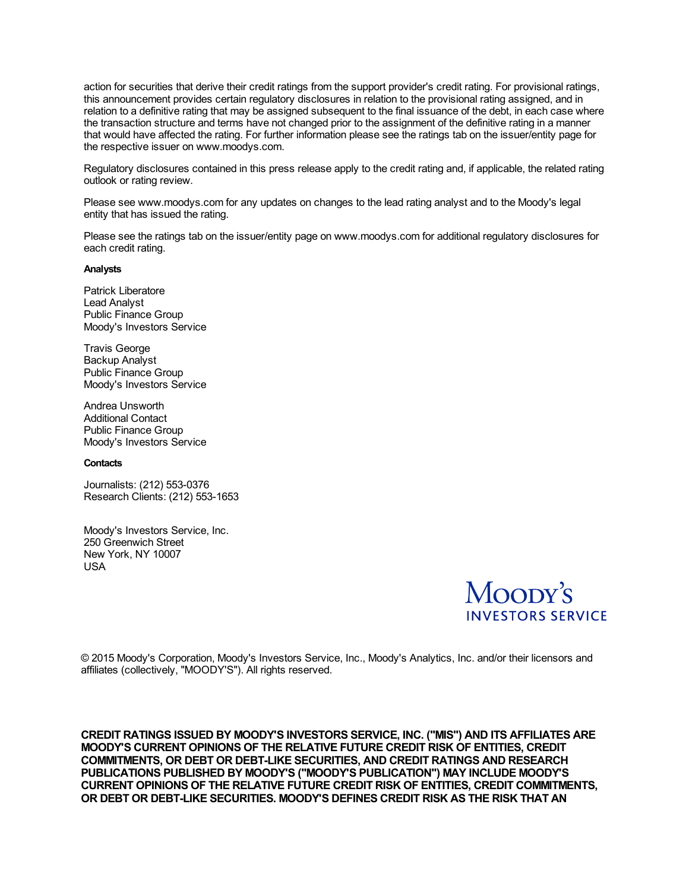action for securities that derive their credit ratings from the support provider's credit rating. For provisional ratings, this announcement provides certain regulatory disclosures in relation to the provisional rating assigned, and in relation to a definitive rating that may be assigned subsequent to the final issuance of the debt, in each case where the transaction structure and terms have not changed prior to the assignment of the definitive rating in a manner that would have affected the rating. For further information please see the ratings tab on the issuer/entity page for the respective issuer on www.moodys.com.

Regulatory disclosures contained in this press release apply to the credit rating and, if applicable, the related rating outlook or rating review.

Please see www.moodys.com for any updates on changes to the lead rating analyst and to the Moody's legal entity that has issued the rating.

Please see the ratings tab on the issuer/entity page on www.moodys.com for additional regulatory disclosures for each credit rating.

#### **Analysts**

Patrick Liberatore Lead Analyst Public Finance Group Moody's Investors Service

Travis George Backup Analyst Public Finance Group Moody's Investors Service

Andrea Unsworth Additional Contact Public Finance Group Moody's Investors Service

# **Contacts**

Journalists: (212) 553-0376 Research Clients: (212) 553-1653

Moody's Investors Service, Inc. 250 Greenwich Street New York, NY 10007 USA



© 2015 Moody's Corporation, Moody's Investors Service, Inc., Moody's Analytics, Inc. and/or their licensors and affiliates (collectively, "MOODY'S"). All rights reserved.

**CREDIT RATINGS ISSUED BY MOODY'S INVESTORS SERVICE, INC. ("MIS") AND ITS AFFILIATES ARE MOODY'S CURRENT OPINIONS OF THE RELATIVE FUTURE CREDIT RISK OF ENTITIES, CREDIT COMMITMENTS, OR DEBT OR DEBT-LIKE SECURITIES, AND CREDIT RATINGS AND RESEARCH PUBLICATIONS PUBLISHED BY MOODY'S ("MOODY'S PUBLICATION") MAY INCLUDE MOODY'S CURRENT OPINIONS OF THE RELATIVE FUTURE CREDIT RISK OF ENTITIES, CREDIT COMMITMENTS, OR DEBT OR DEBT-LIKE SECURITIES. MOODY'S DEFINES CREDIT RISK AS THE RISK THAT AN**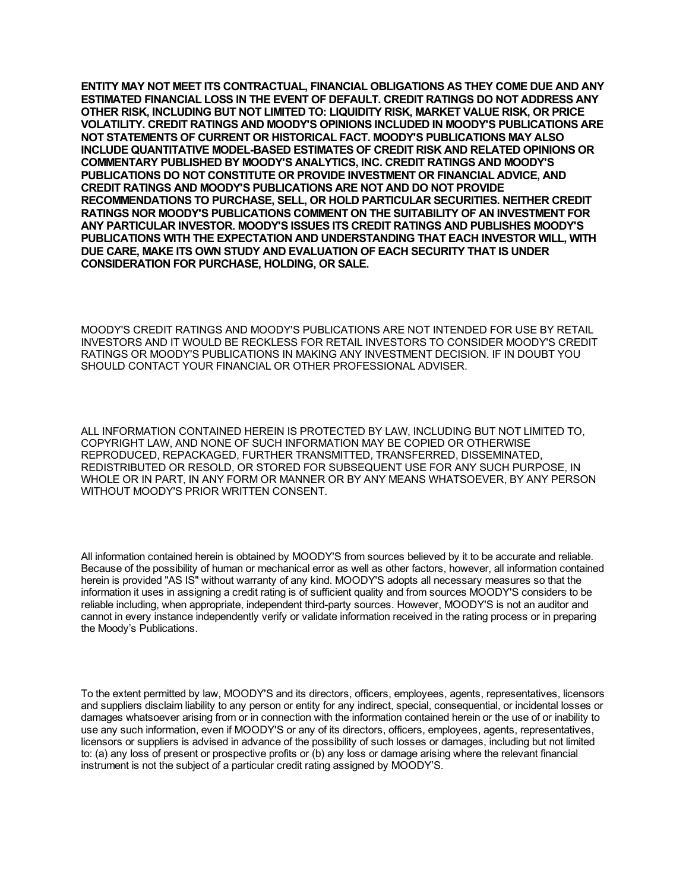**ENTITY MAY NOT MEET ITS CONTRACTUAL, FINANCIAL OBLIGATIONS AS THEY COME DUE AND ANY ESTIMATED FINANCIAL LOSS IN THE EVENT OF DEFAULT. CREDIT RATINGS DO NOT ADDRESS ANY OTHER RISK, INCLUDING BUT NOT LIMITED TO: LIQUIDITY RISK, MARKET VALUE RISK, OR PRICE VOLATILITY. CREDIT RATINGS AND MOODY'S OPINIONS INCLUDED IN MOODY'S PUBLICATIONS ARE NOT STATEMENTS OF CURRENT OR HISTORICAL FACT. MOODY'S PUBLICATIONS MAY ALSO INCLUDE QUANTITATIVE MODEL-BASED ESTIMATES OF CREDIT RISK AND RELATED OPINIONS OR COMMENTARY PUBLISHED BY MOODY'S ANALYTICS, INC. CREDIT RATINGS AND MOODY'S PUBLICATIONS DO NOT CONSTITUTE OR PROVIDE INVESTMENT OR FINANCIAL ADVICE, AND CREDIT RATINGS AND MOODY'S PUBLICATIONS ARE NOT AND DO NOT PROVIDE RECOMMENDATIONS TO PURCHASE, SELL, OR HOLD PARTICULAR SECURITIES. NEITHER CREDIT RATINGS NOR MOODY'S PUBLICATIONS COMMENT ON THE SUITABILITY OF AN INVESTMENT FOR ANY PARTICULAR INVESTOR. MOODY'S ISSUES ITS CREDIT RATINGS AND PUBLISHES MOODY'S PUBLICATIONS WITH THE EXPECTATION AND UNDERSTANDING THAT EACH INVESTOR WILL, WITH DUE CARE, MAKE ITS OWN STUDY AND EVALUATION OF EACH SECURITY THAT IS UNDER CONSIDERATION FOR PURCHASE, HOLDING, OR SALE.**

MOODY'S CREDIT RATINGS AND MOODY'S PUBLICATIONS ARE NOT INTENDED FOR USE BY RETAIL INVESTORS AND IT WOULD BE RECKLESS FOR RETAIL INVESTORS TO CONSIDER MOODY'S CREDIT RATINGS OR MOODY'S PUBLICATIONS IN MAKING ANY INVESTMENT DECISION. IF IN DOUBT YOU SHOULD CONTACT YOUR FINANCIAL OR OTHER PROFESSIONAL ADVISER.

ALL INFORMATION CONTAINED HEREIN IS PROTECTED BY LAW, INCLUDING BUT NOT LIMITED TO, COPYRIGHT LAW, AND NONE OF SUCH INFORMATION MAY BE COPIED OR OTHERWISE REPRODUCED, REPACKAGED, FURTHER TRANSMITTED, TRANSFERRED, DISSEMINATED, REDISTRIBUTED OR RESOLD, OR STORED FOR SUBSEQUENT USE FOR ANY SUCH PURPOSE, IN WHOLE OR IN PART, IN ANY FORM OR MANNER OR BY ANY MEANS WHATSOEVER, BY ANY PERSON WITHOUT MOODY'S PRIOR WRITTEN CONSENT.

All information contained herein is obtained by MOODY'S from sources believed by it to be accurate and reliable. Because of the possibility of human or mechanical error as well as other factors, however, all information contained herein is provided "AS IS" without warranty of any kind. MOODY'S adopts all necessary measures so that the information it uses in assigning a credit rating is of sufficient quality and from sources MOODY'S considers to be reliable including, when appropriate, independent third-party sources. However, MOODY'S is not an auditor and cannot in every instance independently verify or validate information received in the rating process or in preparing the Moody's Publications.

To the extent permitted by law, MOODY'S and its directors, officers, employees, agents, representatives, licensors and suppliers disclaim liability to any person or entity for any indirect, special, consequential, or incidental losses or damages whatsoever arising from or in connection with the information contained herein or the use of or inability to use any such information, even if MOODY'S or any of its directors, officers, employees, agents, representatives, licensors or suppliers is advised in advance of the possibility of such losses or damages, including but not limited to: (a) any loss of present or prospective profits or (b) any loss or damage arising where the relevant financial instrument is not the subject of a particular credit rating assigned by MOODY'S.